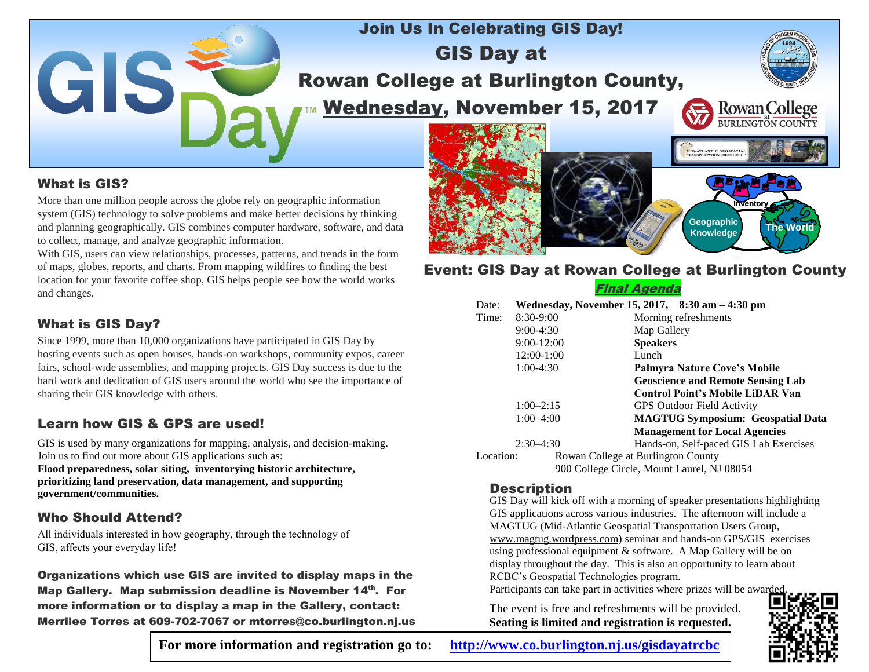

## What is GIS?

More than one million people across the globe rely on geographic information system (GIS) technology to solve problems and make better decisions by thinking and planning geographically. GIS combines computer hardware, software, and data to collect, manage, and analyze geographic information.

With GIS, users can view relationships, processes, patterns, and trends in the form of maps, globes, reports, and charts. From mapping wildfires to finding the best location for your favorite coffee shop, GIS helps people see how the world works and changes.

# What is GIS Day?

Since 1999, more than 10,000 organizations have participated in GIS Day by hosting events such as open houses, hands-on workshops, community expos, career fairs, school-wide assemblies, and mapping projects. GIS Day success is due to the hard work and dedication of GIS users around the world who see the importance of sharing their GIS knowledge with others.

# Learn how GIS & GPS are used!

GIS is used by many organizations for mapping, analysis, and decision-making. Join us to find out more about GIS applications such as:

**Flood preparedness, solar siting, inventorying historic architecture, prioritizing land preservation, data management, and supporting government/communities.**

## Who Should Attend?

All individuals interested in how geography, through the technology of GIS, affects your everyday life!

Organizations which use GIS are invited to display maps in the Map Gallery. Map submission deadline is November 14<sup>th</sup>. For more information or to display a map in the Gallery, contact: Merrilee Torres at 609-702-7067 or mtorres@co.burlington.nj.us

Event: GIS Day at Rowan College at Burlington County

**Inventory The World Geographic**

**Knowledge**

|           |               | Final Agenda                                    |
|-----------|---------------|-------------------------------------------------|
| Date:     |               | Wednesday, November 15, 2017, 8:30 am - 4:30 pm |
| Time:     | 8:30-9:00     | Morning refreshments                            |
|           | $9:00-4:30$   | Map Gallery                                     |
|           | $9:00-12:00$  | <b>Speakers</b>                                 |
|           | 12:00-1:00    | Lunch                                           |
|           | $1:00-4:30$   | <b>Palmyra Nature Cove's Mobile</b>             |
|           |               | <b>Geoscience and Remote Sensing Lab</b>        |
|           |               | <b>Control Point's Mobile LiDAR Van</b>         |
|           | $1:00 - 2:15$ | <b>GPS Outdoor Field Activity</b>               |
|           | $1:00-4:00$   | <b>MAGTUG Symposium: Geospatial Data</b>        |
|           |               | <b>Management for Local Agencies</b>            |
|           | $2:30-4:30$   | Hands-on, Self-paced GIS Lab Exercises          |
| Location: |               | Rowan College at Burlington County              |
|           |               | 900 College Circle, Mount Laurel, NJ 08054      |

#### **Description**

GIS Day will kick off with a morning of speaker presentations highlighting GIS applications across various industries. The afternoon will include a MAGTUG (Mid-Atlantic Geospatial Transportation Users Group, www.magtug.wordpress.com) seminar and hands-on GPS/GIS exercises using professional equipment & software. A Map Gallery will be on display throughout the day. This is also an opportunity to learn about RCBC's Geospatial Technologies program.

Participants can take part in activities where prizes will be awarde

The event is free and refreshments will be provided. **Seating is limited and registration is requested.**



**For more information and registration go to: <http://www.co.burlington.nj.us/gisdayatrcbc>**